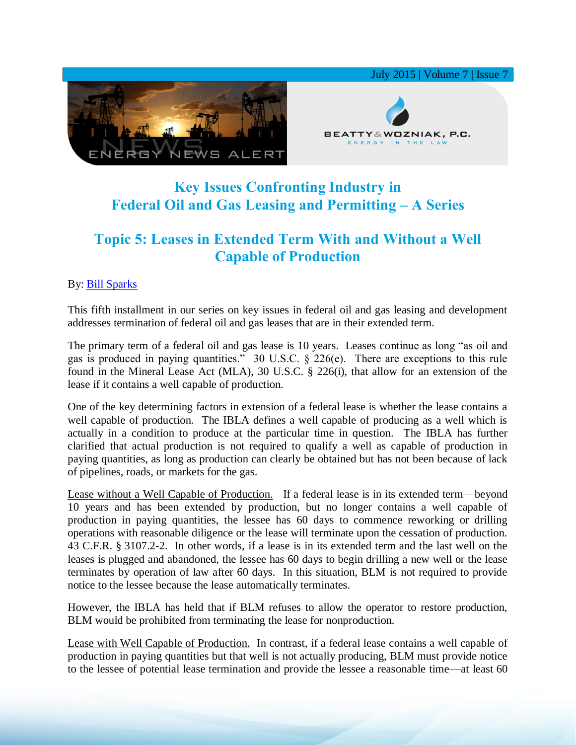

## **Key Issues Confronting Industry in Federal Oil and Gas Leasing and Permitting – A Series**

## **Topic 5: Leases in Extended Term With and Without a Well Capable of Production**

## By: [Bill Sparks](http://www.bwenergylaw.com/#!william-sparks/c1ynl)

This fifth installment in our series on key issues in federal oil and gas leasing and development addresses termination of federal oil and gas leases that are in their extended term.

The primary term of a federal oil and gas lease is 10 years. Leases continue as long "as oil and gas is produced in paying quantities." 30 U.S.C. § 226(e). There are exceptions to this rule found in the Mineral Lease Act (MLA), 30 U.S.C. § 226(i), that allow for an extension of the lease if it contains a well capable of production.

One of the key determining factors in extension of a federal lease is whether the lease contains a well capable of production. The IBLA defines a well capable of producing as a well which is actually in a condition to produce at the particular time in question. The IBLA has further clarified that actual production is not required to qualify a well as capable of production in paying quantities, as long as production can clearly be obtained but has not been because of lack of pipelines, roads, or markets for the gas.

Lease without a Well Capable of Production. If a federal lease is in its extended term—beyond 10 years and has been extended by production, but no longer contains a well capable of production in paying quantities, the lessee has 60 days to commence reworking or drilling operations with reasonable diligence or the lease will terminate upon the cessation of production. 43 C.F.R. § 3107.2-2. In other words, if a lease is in its extended term and the last well on the leases is plugged and abandoned, the lessee has 60 days to begin drilling a new well or the lease terminates by operation of law after 60 days. In this situation, BLM is not required to provide notice to the lessee because the lease automatically terminates.

However, the IBLA has held that if BLM refuses to allow the operator to restore production, BLM would be prohibited from terminating the lease for nonproduction.

Lease with Well Capable of Production. In contrast, if a federal lease contains a well capable of production in paying quantities but that well is not actually producing, BLM must provide notice to the lessee of potential lease termination and provide the lessee a reasonable time—at least 60